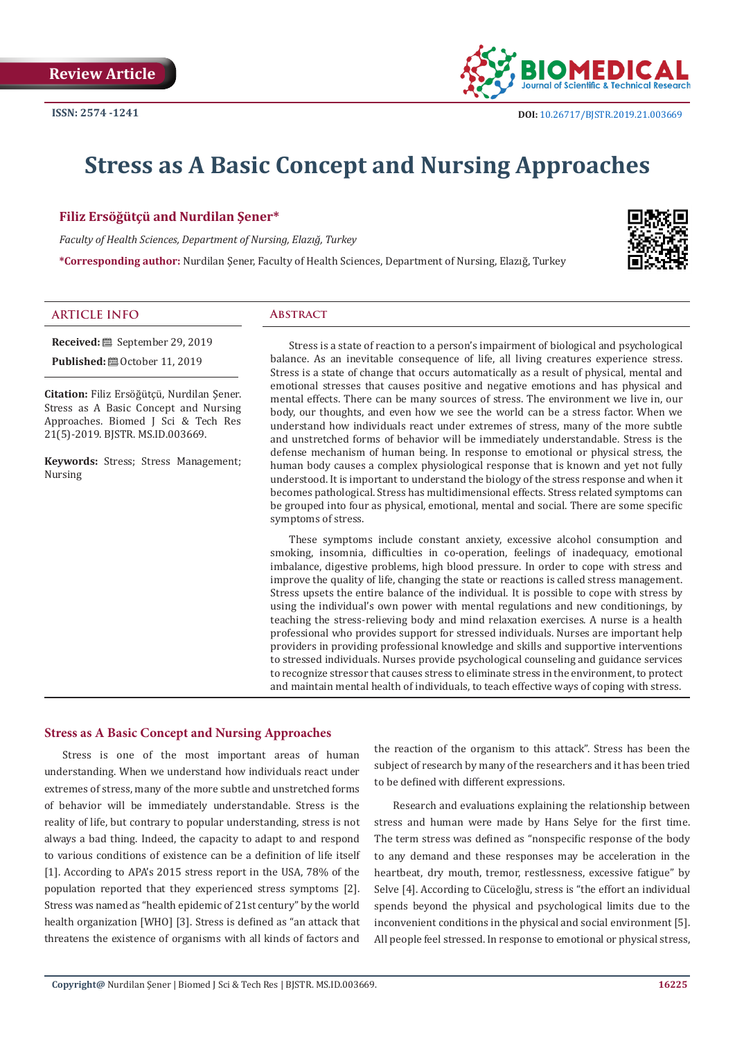

# **Stress as A Basic Concept and Nursing Approaches**

# **Filiz Ersöğütçü and Nurdilan Şener\***

*Faculty of Health Sciences, Department of Nursing, Elazığ, Turkey*

**\*Corresponding author:** Nurdilan Şener, Faculty of Health Sciences, Department of Nursing, Elazığ, Turkey



#### **ARTICLE INFO Abstract**

**Received:** September 29, 2019

**Published:** ■ October 11, 2019

**Citation:** Filiz Ersöğütçü, Nurdilan Şener. Stress as A Basic Concept and Nursing Approaches. Biomed J Sci & Tech Res 21(5)-2019. BJSTR. MS.ID.003669.

**Keywords:** Stress; Stress Management; Nursing

Stress is a state of reaction to a person's impairment of biological and psychological balance. As an inevitable consequence of life, all living creatures experience stress. Stress is a state of change that occurs automatically as a result of physical, mental and emotional stresses that causes positive and negative emotions and has physical and mental effects. There can be many sources of stress. The environment we live in, our body, our thoughts, and even how we see the world can be a stress factor. When we understand how individuals react under extremes of stress, many of the more subtle and unstretched forms of behavior will be immediately understandable. Stress is the defense mechanism of human being. In response to emotional or physical stress, the human body causes a complex physiological response that is known and yet not fully understood. It is important to understand the biology of the stress response and when it becomes pathological. Stress has multidimensional effects. Stress related symptoms can be grouped into four as physical, emotional, mental and social. There are some specific symptoms of stress.

These symptoms include constant anxiety, excessive alcohol consumption and smoking, insomnia, difficulties in co-operation, feelings of inadequacy, emotional imbalance, digestive problems, high blood pressure. In order to cope with stress and improve the quality of life, changing the state or reactions is called stress management. Stress upsets the entire balance of the individual. It is possible to cope with stress by using the individual's own power with mental regulations and new conditionings, by teaching the stress-relieving body and mind relaxation exercises. A nurse is a health professional who provides support for stressed individuals. Nurses are important help providers in providing professional knowledge and skills and supportive interventions to stressed individuals. Nurses provide psychological counseling and guidance services to recognize stressor that causes stress to eliminate stress in the environment, to protect and maintain mental health of individuals, to teach effective ways of coping with stress.

### **Stress as A Basic Concept and Nursing Approaches**

Stress is one of the most important areas of human understanding. When we understand how individuals react under extremes of stress, many of the more subtle and unstretched forms of behavior will be immediately understandable. Stress is the reality of life, but contrary to popular understanding, stress is not always a bad thing. Indeed, the capacity to adapt to and respond to various conditions of existence can be a definition of life itself [1]. According to APA's 2015 stress report in the USA, 78% of the population reported that they experienced stress symptoms [2]. Stress was named as "health epidemic of 21st century" by the world health organization [WHO] [3]. Stress is defined as "an attack that threatens the existence of organisms with all kinds of factors and

the reaction of the organism to this attack". Stress has been the subject of research by many of the researchers and it has been tried to be defined with different expressions.

Research and evaluations explaining the relationship between stress and human were made by Hans Selye for the first time. The term stress was defined as "nonspecific response of the body to any demand and these responses may be acceleration in the heartbeat, dry mouth, tremor, restlessness, excessive fatigue" by Selve [4]. According to Cüceloğlu, stress is "the effort an individual spends beyond the physical and psychological limits due to the inconvenient conditions in the physical and social environment [5]. All people feel stressed. In response to emotional or physical stress,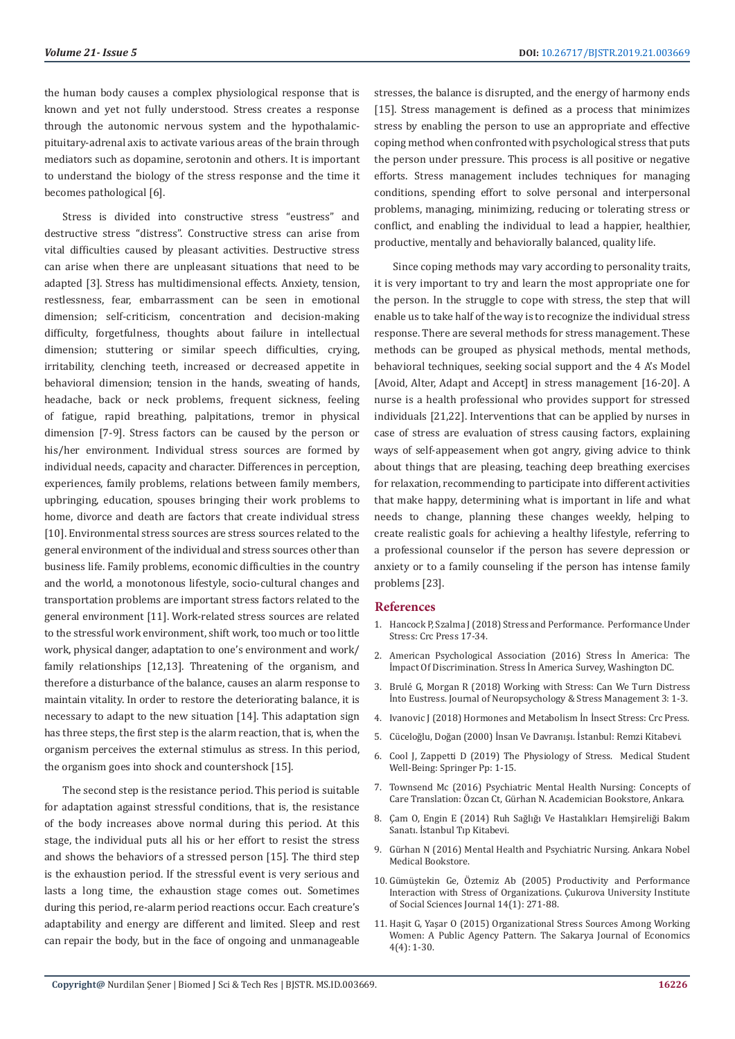the human body causes a complex physiological response that is known and yet not fully understood. Stress creates a response through the autonomic nervous system and the hypothalamicpituitary-adrenal axis to activate various areas of the brain through mediators such as dopamine, serotonin and others. It is important to understand the biology of the stress response and the time it becomes pathological [6].

Stress is divided into constructive stress "eustress" and destructive stress "distress". Constructive stress can arise from vital difficulties caused by pleasant activities. Destructive stress can arise when there are unpleasant situations that need to be adapted [3]. Stress has multidimensional effects. Anxiety, tension, restlessness, fear, embarrassment can be seen in emotional dimension; self-criticism, concentration and decision-making difficulty, forgetfulness, thoughts about failure in intellectual dimension; stuttering or similar speech difficulties, crying, irritability, clenching teeth, increased or decreased appetite in behavioral dimension; tension in the hands, sweating of hands, headache, back or neck problems, frequent sickness, feeling of fatigue, rapid breathing, palpitations, tremor in physical dimension [7-9]. Stress factors can be caused by the person or his/her environment. Individual stress sources are formed by individual needs, capacity and character. Differences in perception, experiences, family problems, relations between family members, upbringing, education, spouses bringing their work problems to home, divorce and death are factors that create individual stress [10]. Environmental stress sources are stress sources related to the general environment of the individual and stress sources other than business life. Family problems, economic difficulties in the country and the world, a monotonous lifestyle, socio-cultural changes and transportation problems are important stress factors related to the general environment [11]. Work-related stress sources are related to the stressful work environment, shift work, too much or too little work, physical danger, adaptation to one's environment and work/ family relationships [12,13]. Threatening of the organism, and therefore a disturbance of the balance, causes an alarm response to maintain vitality. In order to restore the deteriorating balance, it is necessary to adapt to the new situation [14]. This adaptation sign has three steps, the first step is the alarm reaction, that is, when the organism perceives the external stimulus as stress. In this period, the organism goes into shock and countershock [15].

The second step is the resistance period. This period is suitable for adaptation against stressful conditions, that is, the resistance of the body increases above normal during this period. At this stage, the individual puts all his or her effort to resist the stress and shows the behaviors of a stressed person [15]. The third step is the exhaustion period. If the stressful event is very serious and lasts a long time, the exhaustion stage comes out. Sometimes during this period, re-alarm period reactions occur. Each creature's adaptability and energy are different and limited. Sleep and rest can repair the body, but in the face of ongoing and unmanageable

stresses, the balance is disrupted, and the energy of harmony ends [15]. Stress management is defined as a process that minimizes stress by enabling the person to use an appropriate and effective coping method when confronted with psychological stress that puts the person under pressure. This process is all positive or negative efforts. Stress management includes techniques for managing conditions, spending effort to solve personal and interpersonal problems, managing, minimizing, reducing or tolerating stress or conflict, and enabling the individual to lead a happier, healthier, productive, mentally and behaviorally balanced, quality life.

Since coping methods may vary according to personality traits, it is very important to try and learn the most appropriate one for the person. In the struggle to cope with stress, the step that will enable us to take half of the way is to recognize the individual stress response. There are several methods for stress management. These methods can be grouped as physical methods, mental methods, behavioral techniques, seeking social support and the 4 A's Model [Avoid, Alter, Adapt and Accept] in stress management [16-20]. A nurse is a health professional who provides support for stressed individuals [21,22]. Interventions that can be applied by nurses in case of stress are evaluation of stress causing factors, explaining ways of self-appeasement when got angry, giving advice to think about things that are pleasing, teaching deep breathing exercises for relaxation, recommending to participate into different activities that make happy, determining what is important in life and what needs to change, planning these changes weekly, helping to create realistic goals for achieving a healthy lifestyle, referring to a professional counselor if the person has severe depression or anxiety or to a family counseling if the person has intense family problems [23].

#### **References**

- 1. [Hancock P, Szalma J \(2018\) Stress and Performance. Performance Under](https://www.crcpress.com/Performance-Under-Stress/Szalma-Hancock/p/book/9781138074910) [Stress: Crc Press 17-34.](https://www.crcpress.com/Performance-Under-Stress/Szalma-Hancock/p/book/9781138074910)
- 2. American Psychological Association (2016) Stress İn America: The İmpact Of Discrimination. Stress İn America Survey, Washington DC.
- 3. [Brulé G, Morgan R \(2018\) Working with Stress: Can We Turn Distress](http://www.kenkyugroup.org/article/38/135/Working-with-stress--can-we-turn-distress-into-eustress-) [İnto Eustress. Journal of Neuropsychology & Stress Management 3: 1-3.](http://www.kenkyugroup.org/article/38/135/Working-with-stress--can-we-turn-distress-into-eustress-)
- 4. [Ivanovic J \(2018\) Hormones and Metabolism İn İnsect Stress: Crc Press.](https://www.crcpress.com/Hormones-and-Metabolism-in-Insect-Stress/Ivanovic/p/book/9781315894133)
- 5. [Cüceloğlu, Doğan \(2000\) İnsan Ve Davranışı. İstanbul: Remzi Kitabevi.](http://www.remzi.com.tr/kitap/insan-ve-davranisi)
- 6. [Cool J, Zappetti D \(2019\) The Physiology of Stress. Medical Student](https://www.springer.com/gp/book/9783030165574) [Well-Being: Springer Pp: 1-15.](https://www.springer.com/gp/book/9783030165574)
- 7. Townsend Mc (2016) Psychiatric Mental Health Nursing: Concepts of Care Translation: Özcan Ct, Gürhan N. Academician Bookstore, Ankara.
- 8. [Çam O, Engin E \(2014\) Ruh Sağlığı Ve Hastalıkları Hemşireliği Bakım](https://www.istanbultip.com.tr/ruh-sagligi-ve-hastaliklari-hemsireligi) [Sanatı. İstanbul Tıp Kitabevi.](https://www.istanbultip.com.tr/ruh-sagligi-ve-hastaliklari-hemsireligi)
- 9. Gürhan N (2016) Mental Health and Psychiatric Nursing. Ankara Nobel Medical Bookstore.
- 10. Gümüştekin Ge, Öztemiz Ab (2005) Productivity and Performance Interaction with Stress of Organizations. Çukurova University Institute of Social Sciences Journal 14(1): 271-88.
- 11. Haşit G, Yaşar O (2015) Organizational Stress Sources Among Working Women: A Public Agency Pattern. The Sakarya Journal of Economics 4(4): 1-30.